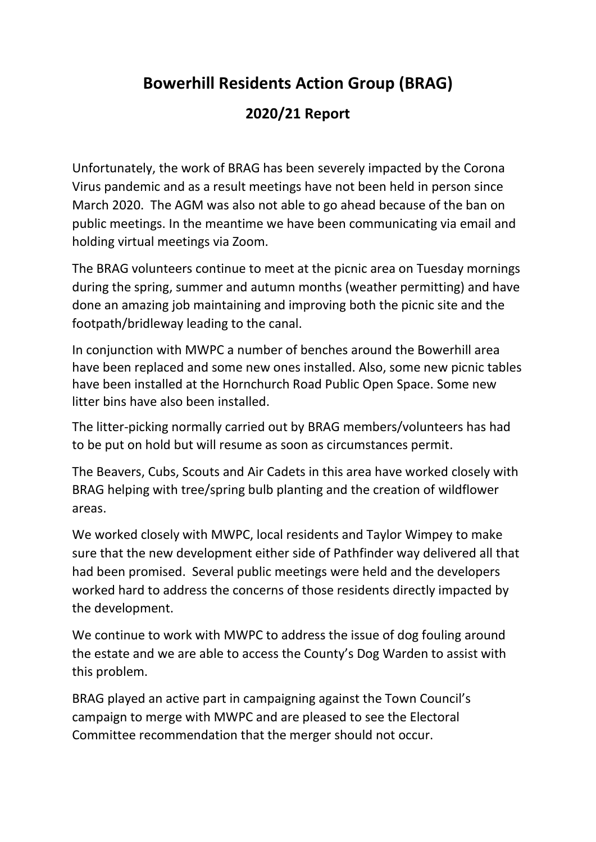# **Bowerhill Residents Action Group (BRAG)**

## **2020/21 Report**

Unfortunately, the work of BRAG has been severely impacted by the Corona Virus pandemic and as a result meetings have not been held in person since March 2020. The AGM was also not able to go ahead because of the ban on public meetings. In the meantime we have been communicating via email and holding virtual meetings via Zoom.

The BRAG volunteers continue to meet at the picnic area on Tuesday mornings during the spring, summer and autumn months (weather permitting) and have done an amazing job maintaining and improving both the picnic site and the footpath/bridleway leading to the canal.

In conjunction with MWPC a number of benches around the Bowerhill area have been replaced and some new ones installed. Also, some new picnic tables have been installed at the Hornchurch Road Public Open Space. Some new litter bins have also been installed.

The litter-picking normally carried out by BRAG members/volunteers has had to be put on hold but will resume as soon as circumstances permit.

The Beavers, Cubs, Scouts and Air Cadets in this area have worked closely with BRAG helping with tree/spring bulb planting and the creation of wildflower areas.

We worked closely with MWPC, local residents and Taylor Wimpey to make sure that the new development either side of Pathfinder way delivered all that had been promised. Several public meetings were held and the developers worked hard to address the concerns of those residents directly impacted by the development.

We continue to work with MWPC to address the issue of dog fouling around the estate and we are able to access the County's Dog Warden to assist with this problem.

BRAG played an active part in campaigning against the Town Council's campaign to merge with MWPC and are pleased to see the Electoral Committee recommendation that the merger should not occur.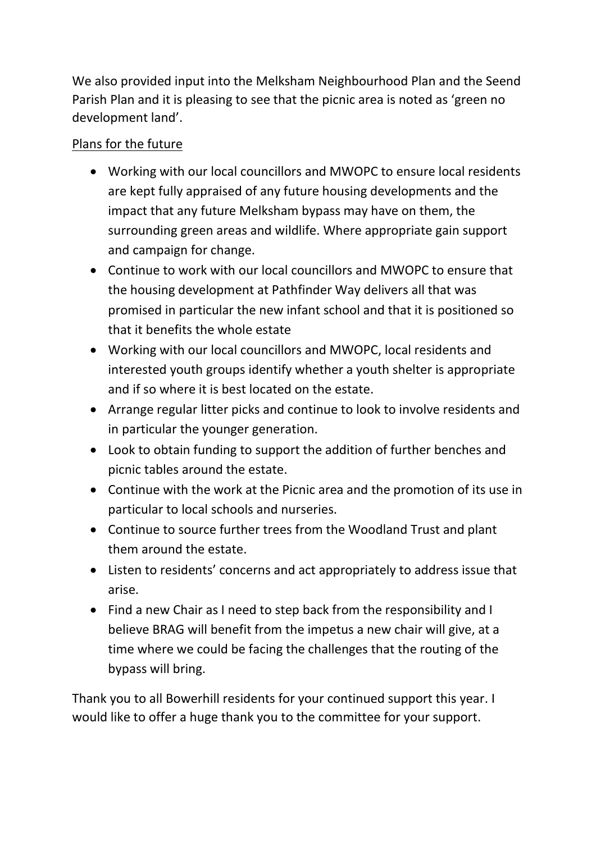We also provided input into the Melksham Neighbourhood Plan and the Seend Parish Plan and it is pleasing to see that the picnic area is noted as 'green no development land'.

## Plans for the future

- Working with our local councillors and MWOPC to ensure local residents are kept fully appraised of any future housing developments and the impact that any future Melksham bypass may have on them, the surrounding green areas and wildlife. Where appropriate gain support and campaign for change.
- Continue to work with our local councillors and MWOPC to ensure that the housing development at Pathfinder Way delivers all that was promised in particular the new infant school and that it is positioned so that it benefits the whole estate
- Working with our local councillors and MWOPC, local residents and interested youth groups identify whether a youth shelter is appropriate and if so where it is best located on the estate.
- Arrange regular litter picks and continue to look to involve residents and in particular the younger generation.
- Look to obtain funding to support the addition of further benches and picnic tables around the estate.
- Continue with the work at the Picnic area and the promotion of its use in particular to local schools and nurseries.
- Continue to source further trees from the Woodland Trust and plant them around the estate.
- Listen to residents' concerns and act appropriately to address issue that arise.
- Find a new Chair as I need to step back from the responsibility and I believe BRAG will benefit from the impetus a new chair will give, at a time where we could be facing the challenges that the routing of the bypass will bring.

Thank you to all Bowerhill residents for your continued support this year. I would like to offer a huge thank you to the committee for your support.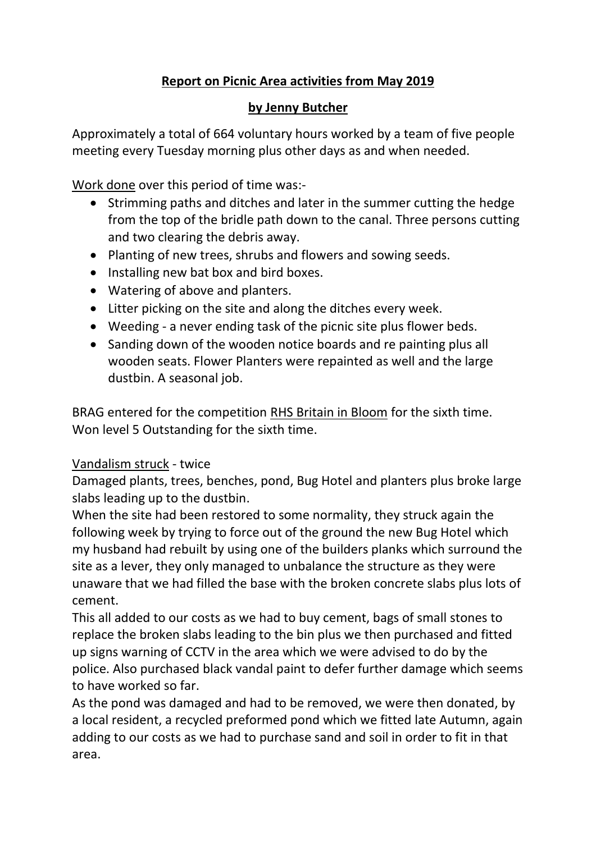### **Report on Picnic Area activities from May 2019**

#### **by Jenny Butcher**

Approximately a total of 664 voluntary hours worked by a team of five people meeting every Tuesday morning plus other days as and when needed.

Work done over this period of time was:-

- Strimming paths and ditches and later in the summer cutting the hedge from the top of the bridle path down to the canal. Three persons cutting and two clearing the debris away.
- Planting of new trees, shrubs and flowers and sowing seeds.
- Installing new bat box and bird boxes.
- Watering of above and planters.
- Litter picking on the site and along the ditches every week.
- Weeding a never ending task of the picnic site plus flower beds.
- Sanding down of the wooden notice boards and re painting plus all wooden seats. Flower Planters were repainted as well and the large dustbin. A seasonal job.

BRAG entered for the competition RHS Britain in Bloom for the sixth time. Won level 5 Outstanding for the sixth time.

#### Vandalism struck - twice

Damaged plants, trees, benches, pond, Bug Hotel and planters plus broke large slabs leading up to the dustbin.

When the site had been restored to some normality, they struck again the following week by trying to force out of the ground the new Bug Hotel which my husband had rebuilt by using one of the builders planks which surround the site as a lever, they only managed to unbalance the structure as they were unaware that we had filled the base with the broken concrete slabs plus lots of cement.

This all added to our costs as we had to buy cement, bags of small stones to replace the broken slabs leading to the bin plus we then purchased and fitted up signs warning of CCTV in the area which we were advised to do by the police. Also purchased black vandal paint to defer further damage which seems to have worked so far.

As the pond was damaged and had to be removed, we were then donated, by a local resident, a recycled preformed pond which we fitted late Autumn, again adding to our costs as we had to purchase sand and soil in order to fit in that area.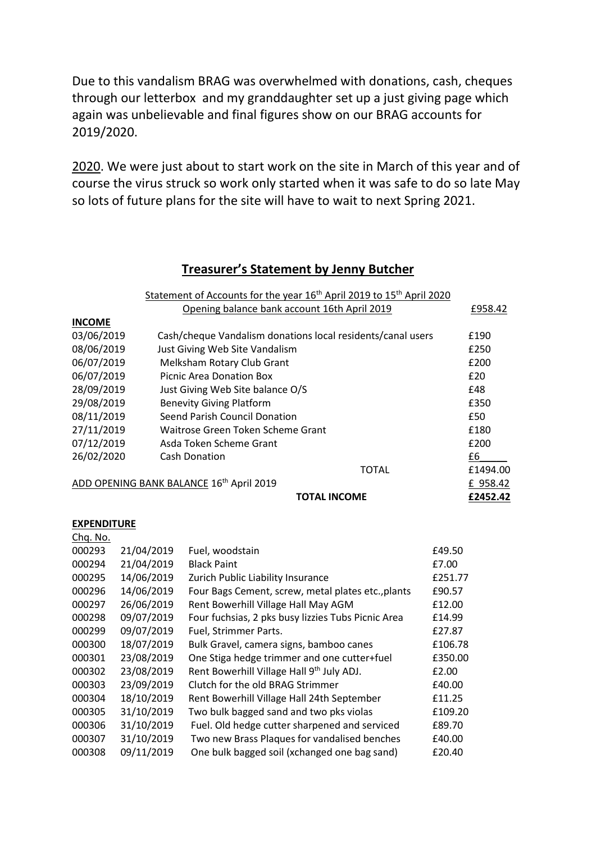Due to this vandalism BRAG was overwhelmed with donations, cash, cheques through our letterbox and my granddaughter set up a just giving page which again was unbelievable and final figures show on our BRAG accounts for 2019/2020.

2020. We were just about to start work on the site in March of this year and of course the virus struck so work only started when it was safe to do so late May so lots of future plans for the site will have to wait to next Spring 2021.

#### **Treasurer's Statement by Jenny Butcher**

|                                          |            | Statement of Accounts for the year 16 <sup>th</sup> April 2019 to 15 <sup>th</sup> April 2020 |         |          |
|------------------------------------------|------------|-----------------------------------------------------------------------------------------------|---------|----------|
|                                          |            | Opening balance bank account 16th April 2019                                                  |         | £958.42  |
| <b>INCOME</b>                            |            |                                                                                               |         |          |
| 03/06/2019                               |            | Cash/cheque Vandalism donations local residents/canal users                                   |         | £190     |
| 08/06/2019                               |            | Just Giving Web Site Vandalism                                                                |         | £250     |
| 06/07/2019                               |            | Melksham Rotary Club Grant                                                                    |         | £200     |
| 06/07/2019                               |            | <b>Picnic Area Donation Box</b>                                                               |         | £20      |
| 28/09/2019                               |            | Just Giving Web Site balance O/S                                                              |         | £48      |
| 29/08/2019                               |            | <b>Benevity Giving Platform</b>                                                               |         | £350     |
| 08/11/2019                               |            | Seend Parish Council Donation                                                                 |         | £50      |
| 27/11/2019                               |            | Waitrose Green Token Scheme Grant                                                             |         | £180     |
| 07/12/2019                               |            | Asda Token Scheme Grant                                                                       |         | £200     |
| 26/02/2020                               |            | <b>Cash Donation</b>                                                                          |         | £6       |
|                                          |            | <b>TOTAL</b>                                                                                  |         | £1494.00 |
| ADD OPENING BANK BALANCE 16th April 2019 |            |                                                                                               |         |          |
|                                          |            | <b>TOTAL INCOME</b>                                                                           |         | £2452.42 |
|                                          |            |                                                                                               |         |          |
| <b>EXPENDITURE</b>                       |            |                                                                                               |         |          |
| Chq. No.                                 |            |                                                                                               |         |          |
| 000293                                   | 21/04/2019 | Fuel, woodstain                                                                               | £49.50  |          |
| 000294                                   | 21/04/2019 | <b>Black Paint</b>                                                                            | £7.00   |          |
| 000295                                   | 14/06/2019 | Zurich Public Liability Insurance                                                             | £251.77 |          |
| 000296                                   | 14/06/2019 | Four Bags Cement, screw, metal plates etc., plants                                            | £90.57  |          |
| 000297                                   | 26/06/2019 | Rent Bowerhill Village Hall May AGM                                                           | £12.00  |          |
| 000298                                   | 09/07/2019 | Four fuchsias, 2 pks busy lizzies Tubs Picnic Area                                            | £14.99  |          |
| 000299                                   | 09/07/2019 | Fuel, Strimmer Parts.                                                                         | £27.87  |          |
| 000300                                   | 18/07/2019 | Bulk Gravel, camera signs, bamboo canes                                                       | £106.78 |          |
| 000301                                   | 23/08/2019 | One Stiga hedge trimmer and one cutter+fuel                                                   | £350.00 |          |
| 000302                                   | 23/08/2019 | Rent Bowerhill Village Hall 9 <sup>th</sup> July ADJ.                                         | £2.00   |          |
| 000303                                   | 23/09/2019 | Clutch for the old BRAG Strimmer                                                              | £40.00  |          |
| 000304                                   | 18/10/2019 | Rent Bowerhill Village Hall 24th September                                                    | £11.25  |          |
| 000305                                   | 31/10/2019 | Two bulk bagged sand and two pks violas                                                       | £109.20 |          |
| 000306                                   | 31/10/2019 | Fuel. Old hedge cutter sharpened and serviced                                                 | £89.70  |          |
| 000307                                   | 31/10/2019 | Two new Brass Plaques for vandalised benches                                                  | £40.00  |          |
| 000308                                   | 09/11/2019 | One bulk bagged soil (xchanged one bag sand)                                                  | £20.40  |          |